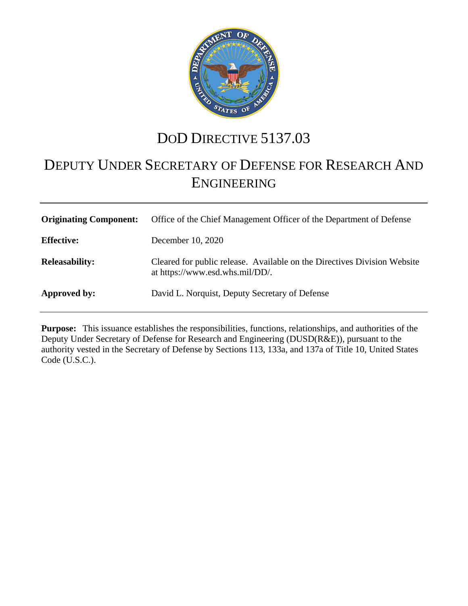

# DOD DIRECTIVE 5137.03

# DEPUTY UNDER SECRETARY OF DEFENSE FOR RESEARCH AND ENGINEERING

| <b>Originating Component:</b> | Office of the Chief Management Officer of the Department of Defense                                         |
|-------------------------------|-------------------------------------------------------------------------------------------------------------|
| <b>Effective:</b>             | December 10, 2020                                                                                           |
| <b>Releasability:</b>         | Cleared for public release. Available on the Directives Division Website<br>at https://www.esd.whs.mil/DD/. |
| Approved by:                  | David L. Norquist, Deputy Secretary of Defense                                                              |

**Purpose:** This issuance establishes the responsibilities, functions, relationships, and authorities of the Deputy Under Secretary of Defense for Research and Engineering (DUSD(R&E)), pursuant to the authority vested in the Secretary of Defense by Sections 113, 133a, and 137a of Title 10, United States Code (U.S.C.).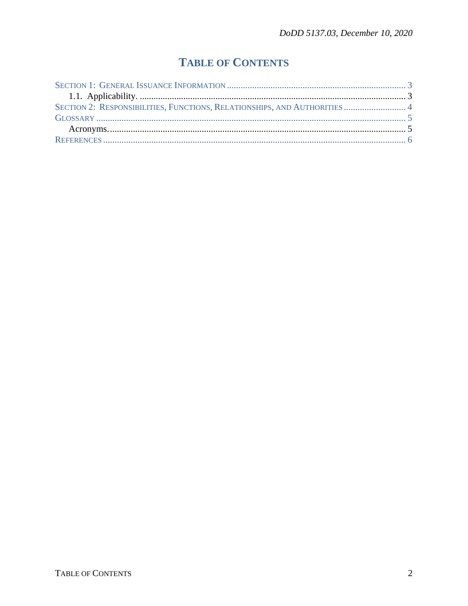## **TABLE OF CONTENTS**

| SECTION 2: RESPONSIBILITIES, FUNCTIONS, RELATIONSHIPS, AND AUTHORITIES  4 |  |
|---------------------------------------------------------------------------|--|
|                                                                           |  |
|                                                                           |  |
|                                                                           |  |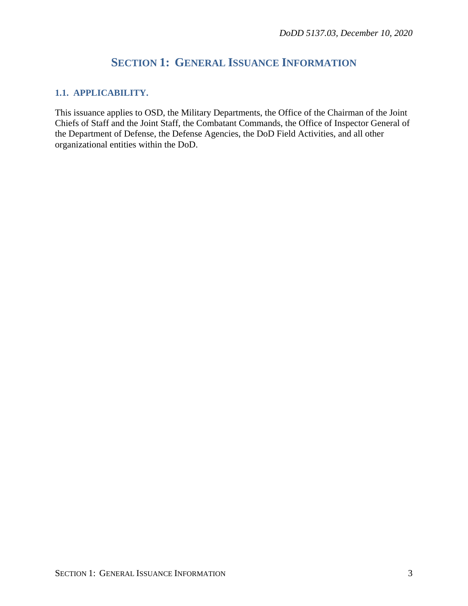## **SECTION 1: GENERAL ISSUANCE INFORMATION**

#### <span id="page-2-1"></span><span id="page-2-0"></span>**1.1. APPLICABILITY.**

This issuance applies to OSD, the Military Departments, the Office of the Chairman of the Joint Chiefs of Staff and the Joint Staff, the Combatant Commands, the Office of Inspector General of the Department of Defense, the Defense Agencies, the DoD Field Activities, and all other organizational entities within the DoD.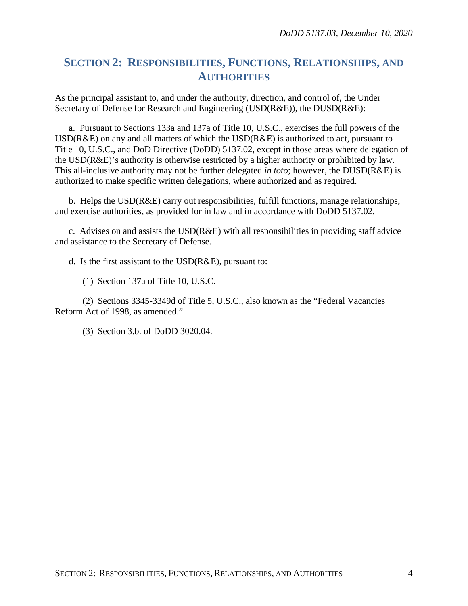### <span id="page-3-0"></span>**SECTION 2: RESPONSIBILITIES, FUNCTIONS, RELATIONSHIPS, AND AUTHORITIES**

As the principal assistant to, and under the authority, direction, and control of, the Under Secretary of Defense for Research and Engineering (USD(R&E)), the DUSD(R&E):

a. Pursuant to Sections 133a and 137a of Title 10, U.S.C., exercises the full powers of the USD(R&E) on any and all matters of which the USD(R&E) is authorized to act, pursuant to Title 10, U.S.C., and DoD Directive (DoDD) 5137.02, except in those areas where delegation of the USD(R&E)'s authority is otherwise restricted by a higher authority or prohibited by law. This all-inclusive authority may not be further delegated *in toto*; however, the DUSD(R&E) is authorized to make specific written delegations, where authorized and as required.

b. Helps the USD(R&E) carry out responsibilities, fulfill functions, manage relationships, and exercise authorities, as provided for in law and in accordance with DoDD 5137.02.

c. Advises on and assists the USD(R&E) with all responsibilities in providing staff advice and assistance to the Secretary of Defense.

d. Is the first assistant to the USD(R&E), pursuant to:

(1) Section 137a of Title 10, U.S.C.

(2) Sections 3345-3349d of Title 5, U.S.C., also known as the "Federal Vacancies Reform Act of 1998, as amended."

(3) Section 3.b. of DoDD 3020.04.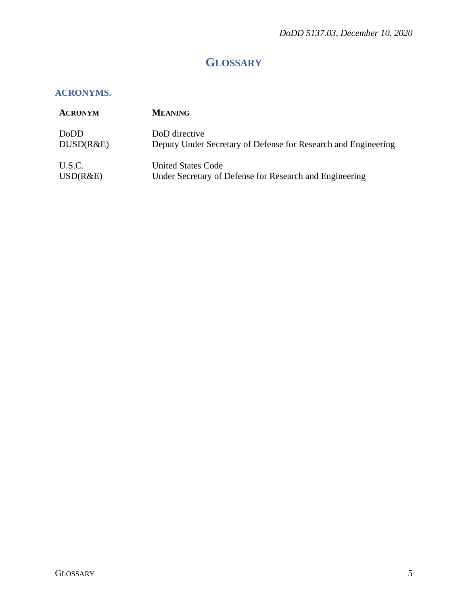## **GLOSSARY**

#### <span id="page-4-1"></span><span id="page-4-0"></span>**ACRONYMS.**

| <b>ACRONYM</b> | <b>MEANING</b>                                                 |
|----------------|----------------------------------------------------------------|
| DoDD           | DoD directive                                                  |
| DUSD(R&E)      | Deputy Under Secretary of Defense for Research and Engineering |
| U.S.C.         | United States Code                                             |
| USD(R&E)       | Under Secretary of Defense for Research and Engineering        |